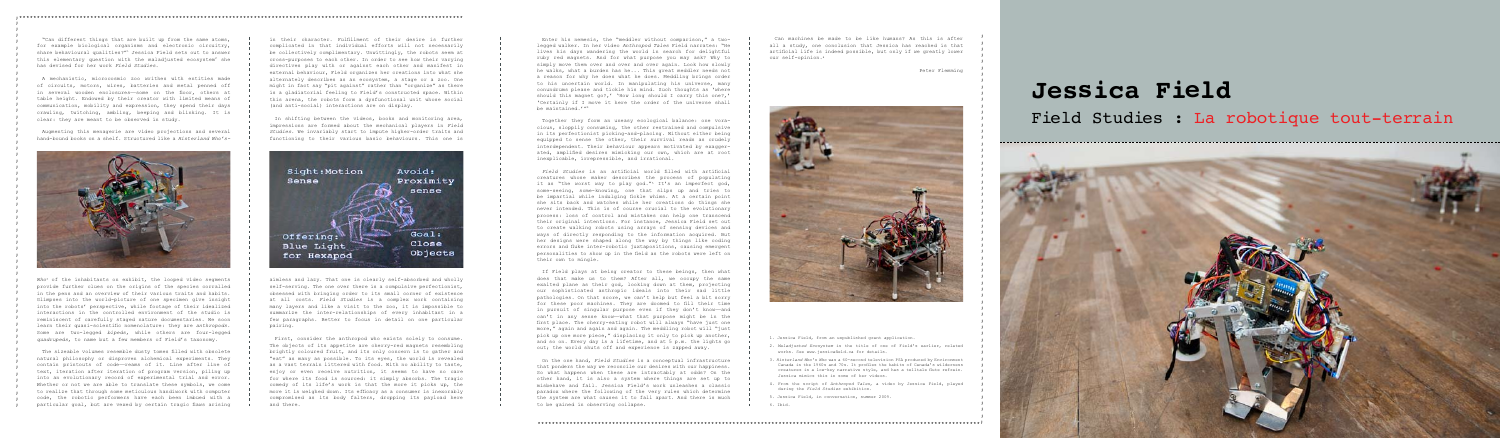;\*\*\*\*\*\*\*\*\*\*\*\*\*\*\*\*\*\*\*\*\*\*\*\*\*\*\*\*\*\*\*\*\*\*\*\*\*\*\*\*\*\*\*\*\*\*\*\*\*\*\*\*\*\*\*\*\*\*\*\*\*\*\*\*\*\*\*\*\*\*\*\*\*\*\*\*\*\*\*\*\*\*\*\*\*\*\*\*\*\*\*\*\*\*\*\*\*\*\*\*\*\*\*\*\*\*\*\*\*\*\*\*\*\*\*\*\*\*\*\*\*\*\*\*\*

; ; ; ; ; ; ; ; ; ; ; ; ; ; ; ; ; ; ; ; ; ; ; ; ; ; ; ; ; ; ; ; ; ; ; ; ; ; ; ; ; ; ; ; ; ; ; ; ; ; ; ; ; ; ; ; ; ; ; ; ; ;

; ; ; ; ; ; ; ; ; ; ; ; ; ; ;







"Can different things that are built up from the same atoms, for example biological organisms and electronic circuitry, share behavioural qualities?"1 Jessica Field sets out to answer this elementary question with the maladjusted ecosystem<sup>2</sup> she has devised for her work *Field Studies*.

A mechanistic, microcosmic zoo writhes with entities made of circuits, motors, wires, batteries and metal penned off in several wooden enclosures—some on the floor, others at table height. Endowed by their creator with limited means of communication, mobility and expression, they spend their days crawling, twitching, ambling, beeping and blinking. It is clear: they are meant to be observed in study.

Augmenting this menagerie are video projections and several hand-bound books on a shelf. Structured like a *Hinterland Who's-*



*Who*3 of the inhabitants on exhibit, the looped video segments provide further clues on the origins of the species corralled in the pens and an overview of their various traits and habits. Glimpses into the world-picture of one specimen give insight into the robots' perspective, while footage of their idealized interactions in the controlled environment of the studio is reminiscent of carefully staged nature documentaries. We soon learn their quasi-scientific nomenclature: they are *anthropods*. Some are two-legged *bipeds*, while others are four-legged *quadrupeds*, to name but a few members of Field's taxonomy.

The sizeable volumes resemble dusty tomes filled with obsolete natural philosophy or disproven alchemical experiments. They contain printouts of code—reams of it. Line after line of text, iteration after iteration of program version, piling up into an evolutionary record of experimental trial and error. Whether or not we are able to translate these symbols, we come to realize that through some meticulous handiwork with computer code, the robotic performers have each been imbued with a particular goal, but are vexed by certain tragic flaws arising

in their character. Fulfillment of their desire is further complicated in that individual efforts will not necessarily be collectively complimentary. Unwittingly, the robots seem at cross-purposes to each other. In order to see how their varying directives play with or against each other and manifest in external behaviour, Field organizes her creations into what she alternately describes as an ecosystem, a stage or a zoo. One might in fact say "pit against" rather than "organize" as there is a gladiatorial feeling to Field's constructed space. Within this arena, the robots form a dysfunctional unit whose social (and anti-social) interactions are on display.

In shifting between the videos, books and monitoring area, impressions are formed about the mechanical players in *Field Studies*. We invariably start to impute higher-order traits and functioning to their various basic behaviours. This one is



aimless and lazy. That one is clearly self-absorbed and wholly self-serving. The one over there is a compulsive perfectionist, obsessed with bringing order to its small corner of existence at all costs. *Field Studies* is a complex work containing many layers and like a visit to the zoo, it is impossible to summarize the inter-relationships of every inhabitant in a few paragraphs. Better to focus in detail on one particular pairing.

Can machines be made to be like humans? As this is after all a study, one conclusion that Jessica has reached is that artificial life is indeed possible, but only if we greatly lower our self-opinion.<sup>6</sup>

First, consider the anthropod who exists solely to consume. The objects of its appetite are cherry-red magnets resembling brightly coloured fruit, and its only concern is to gather and "eat" as many as possible. To its eyes, the world is revealed as a vast terrain littered with food. With no ability to taste, enjoy or even receive nutrition, it seems to have no care for where its food is sourced: it simply absorbs. The tragic comedy of its life's work is that the more it picks up, the more it is weighed down. Its efficacy as a consumer is inexorably compromised as its body falters, dropping its payload here and there.

## **Jessica Field** Field Studies : La robotique tout-terrain

Enter his nemesis, the "meddler without comparison," a twolegged walker. In her video *Anthropod Tales* Field narrates: "He lives his days wandering the world in search for delightful ruby red magnets. And for what purpose you may ask? Why to simply move them over and over and over again. Look how slowly he walks, what a burden has he... This great meddler needs not a reason for why he does what he does. Meddling brings order to his uncertain world. In manipulating his universe, many conundrums please and tickle his mind. Such thoughts as 'where should this magnet go?,' 'How long should I carry this one?,' 'Certainly if I move it here the order of the universe shall be maintained.'"4

Together they form an uneasy ecological balance: one voracious, sloppily consuming, the other restrained and compulsive in its perfectionist picking-and-placing. Without either being equipped to sense the other, their survival reads as crudely interdependent. Their behaviour appears motivated by exaggerated, amplified desires mimicking our own, which are at root inexplicable, irrepressible, and irrational.

*Field Studies* is an artificial world filled with artificial creatures whose maker describes the process of populating it as "the worst way to play god."<sup>5</sup> It's an imperfect god, some-seeing, some-knowing, one that slips up and tries to be impartial while indulging fickle whims. At a certain point she sits back and watches while her creations do things she never intended. This is of course crucial to the evolutionary process: loss of control and mistakes can help one transcend their original intentions. For instance, Jessica Field set out to create walking robots using arrays of sensing devices and ways of directly responding to the information acquired. But her designs were shaped along the way by things like coding errors and fluke inter-robotic juxtapositions, causing emergent personalities to show up in the field as the robots were left on their own to mingle.

If Field plays at being creator to these beings, then what does that make us to them? After all, we occupy the same exalted plane as their god, looking down at them, projecting our sophisticated anthropic ideals into their sad little pathologies. On that score, we can't help but feel a bit sorry for these poor machines. They are doomed to fill their time in pursuit of singular purpose even if they don't know—and can't in any sense know—what that purpose might be in the first place. The cherry-eating robot will always "have just one more," again and again and again. The meddling robot will "just pick up one more piece," displacing it only to pick up another, and so on. Every day is a lifetime, and at 5 p.m. the lights go out; the world shuts off and experience is zapped away.

On the one hand, *Field Studies* is a conceptual infrastructure that ponders the way we reconcile our desires with our happiness. So what happens when these are intractably at odds? On the other hand, it is also a system where things are set up to misbehave and fail. Jessica Field's work unleashes a classic paradox where the following of the very rules which determine the system are what causes it to fall apart. And there is much to be gained in observing collapse.

Peter Flemming

1. Jessica Field, from an unpublished grant application.

2. *Maladjusted Ecosystem* is the title of one of Field's earlier, related works. See www.jessicafield.ca for details.

3. *Hinterland Who's Who* was a 60-second television PSA produced by Environment Canada in the 1960s and 70s. It profiles the habits of Canada's wilderness creatures in a low-key narrative style, and has a telltale flute refrain. Jessica mimics this in some of her videos.

4. From the script of *Anthropod Tales*, a video by Jessica Field, played during the *Field Studies* exhibition.

5. Jessica Field, in conversation, summer 2009.

6. Ibid.